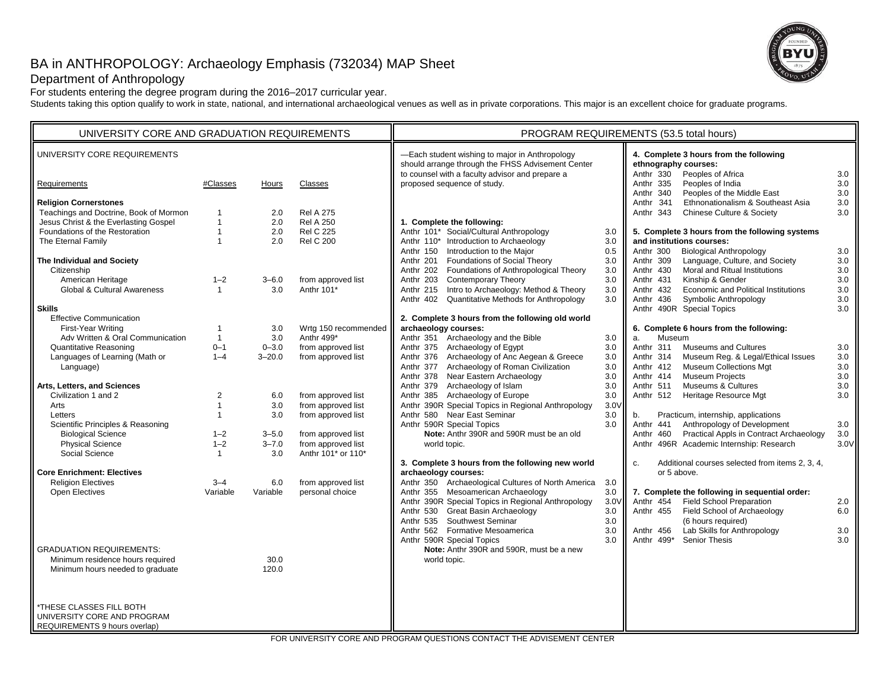# BA in ANTHROPOLOGY: Archaeology Emphasis (732034) MAP Sheet



# Department of Anthropology

For students entering the degree program during the 2016–2017 curricular year.

Students taking this option qualify to work in state, national, and international archaeological venues as well as in private corporations. This major is an excellent choice for graduate programs.

| UNIVERSITY CORE REQUIREMENTS<br>-Each student wishing to major in Anthropology<br>4. Complete 3 hours from the following<br>should arrange through the FHSS Advisement Center<br>ethnography courses:<br>to counsel with a faculty advisor and prepare a<br>Anthr 330<br>Peoples of Africa<br>3.0<br>proposed sequence of study.<br>Anthr 335<br>Peoples of India<br>3.0<br>#Classes<br>Classes<br>Requirements<br>Hours<br>Anthr 340<br>3.0<br>Peoples of the Middle East<br><b>Religion Cornerstones</b><br>Anthr 341<br>Ethnonationalism & Southeast Asia<br>3.0<br>Teachings and Doctrine, Book of Mormon<br>3.0<br>2.0<br><b>Rel A 275</b><br>Anthr 343<br><b>Chinese Culture &amp; Society</b><br>Jesus Christ & the Everlasting Gospel<br>2.0<br><b>Rel A 250</b><br>1. Complete the following:<br>$\mathbf{1}$<br>Anthr 101* Social/Cultural Anthropology<br>Foundations of the Restoration<br><b>Rel C 225</b><br>5. Complete 3 hours from the following systems<br>$\mathbf{1}$<br>2.0<br>3.0<br>Anthr 110* Introduction to Archaeology<br>The Eternal Family<br><b>Rel C 200</b><br>and institutions courses:<br>$\mathbf{1}$<br>2.0<br>3.0<br>Anthr 150 Introduction to the Major<br>0.5<br>Anthr 300<br><b>Biological Anthropology</b><br>3.0<br>Anthr 201 Foundations of Social Theory<br>3.0<br>Language, Culture, and Society<br>3.0<br>The Individual and Society<br>Anthr 309<br>Anthr 202 Foundations of Anthropological Theory<br>Moral and Ritual Institutions<br>$3.0\,$<br>3.0<br>Anthr 430<br>Citizenship<br>American Heritage<br><b>Contemporary Theory</b><br>3.0<br>Anthr 431<br>Kinship & Gender<br>3.0<br>$1 - 2$<br>$3 - 6.0$<br>from approved list<br>Anthr 203<br>Global & Cultural Awareness<br>Anthr 101*<br>Anthr 215 Intro to Archaeology: Method & Theory<br>$3.0\,$<br>3.0<br>3.0<br>Anthr 432<br>Economic and Political Institutions<br>$\mathbf{1}$<br>Anthr 402 Quantitative Methods for Anthropology<br>3.0<br>Symbolic Anthropology<br>3.0<br>Anthr 436<br><b>Skills</b><br>Anthr 490R Special Topics<br>3.0<br><b>Effective Communication</b><br>2. Complete 3 hours from the following old world<br>Wrtg 150 recommended<br>archaeology courses:<br><b>First-Year Writing</b><br>3.0<br>6. Complete 6 hours from the following:<br>1<br>Adv Written & Oral Communication<br>Anthr 499*<br>Anthr 351 Archaeology and the Bible<br>Museum<br>3.0<br>3.0<br>$\mathbf{1}$<br>a.<br><b>Quantitative Reasoning</b><br>$0 - 1$<br>from approved list<br>Anthr 375 Archaeology of Egypt<br>3.0<br>Anthr 311<br><b>Museums and Cultures</b><br>$0 - 3.0$<br>3.0<br>Anthr 376 Archaeology of Anc Aegean & Greece<br>3.0<br>Languages of Learning (Math or<br>$1 - 4$<br>$3 - 20.0$<br>from approved list<br>Anthr 314<br>Museum Reg. & Legal/Ethical Issues<br>3.0<br>Anthr 377 Archaeology of Roman Civilization<br><b>Museum Collections Mgt</b><br>3.0<br>$3.0\,$<br>Language)<br>Anthr 412<br>Anthr 378 Near Eastern Archaeology<br><b>Museum Projects</b><br>3.0<br>3.0<br>Anthr 414<br>Anthr 379 Archaeology of Islam<br>Museums & Cultures<br>$3.0\,$<br>Arts, Letters, and Sciences<br>3.0<br>Anthr 511<br>from approved list<br>Anthr 385 Archaeology of Europe<br>3.0<br>Anthr 512<br>Heritage Resource Mgt<br>3.0<br>Civilization 1 and 2<br>2<br>6.0<br>Anthr 390R Special Topics in Regional Anthropology<br>3.0V<br>$\mathbf{1}$<br>3.0<br>from approved list<br>Arts<br>Anthr 580 Near East Seminar<br>3.0<br>Practicum, internship, applications<br>Letters<br>3.0<br>from approved list<br>b.<br>$\mathbf{1}$<br>Anthropology of Development<br>Anthr 590R Special Topics<br>Scientific Principles & Reasoning<br>3.0<br>Anthr 441<br>3.0<br>Note: Anthr 390R and 590R must be an old<br>Practical Appls in Contract Archaeology<br><b>Biological Science</b><br>$1 - 2$<br>$3 - 5.0$<br>from approved list<br>Anthr 460<br>3.0<br><b>Physical Science</b><br>$1 - 2$<br>$3 - 7.0$<br>from approved list<br>Anthr 496R Academic Internship: Research<br>3.0V<br>world topic.<br>Social Science<br>3.0<br>Anthr 101* or 110*<br>$\mathbf{1}$<br>3. Complete 3 hours from the following new world<br>Additional courses selected from items 2, 3, 4,<br>C.<br><b>Core Enrichment: Electives</b><br>archaeology courses:<br>or 5 above.<br><b>Religion Electives</b><br>from approved list<br>Anthr 350 Archaeological Cultures of North America<br>$3 - 4$<br>6.0<br>3.0<br>Anthr 355 Mesoamerican Archaeology<br>3.0<br>Open Electives<br>Variable<br>personal choice<br>7. Complete the following in sequential order:<br>Variable<br>Anthr 390R Special Topics in Regional Anthropology<br><b>Field School Preparation</b><br>3.0V<br>Anthr 454<br>2.0<br>Anthr 530 Great Basin Archaeology<br>Field School of Archaeology<br>6.0<br>3.0<br>Anthr 455<br>Anthr 535 Southwest Seminar<br>(6 hours required)<br>3.0<br>3.0<br>Lab Skills for Anthropology<br>3.0<br>Anthr 562 Formative Mesoamerica<br>Anthr 456<br>3.0<br>Anthr 590R Special Topics<br>3.0<br>Anthr 499*<br><b>Senior Thesis</b><br><b>GRADUATION REQUIREMENTS:</b><br>Note: Anthr 390R and 590R, must be a new<br>Minimum residence hours required<br>30.0<br>world topic.<br>Minimum hours needed to graduate<br>120.0<br>*THESE CLASSES FILL BOTH<br>UNIVERSITY CORE AND PROGRAM | UNIVERSITY CORE AND GRADUATION REQUIREMENTS |  |  | PROGRAM REQUIREMENTS (53.5 total hours) |  |  |  |  |
|---------------------------------------------------------------------------------------------------------------------------------------------------------------------------------------------------------------------------------------------------------------------------------------------------------------------------------------------------------------------------------------------------------------------------------------------------------------------------------------------------------------------------------------------------------------------------------------------------------------------------------------------------------------------------------------------------------------------------------------------------------------------------------------------------------------------------------------------------------------------------------------------------------------------------------------------------------------------------------------------------------------------------------------------------------------------------------------------------------------------------------------------------------------------------------------------------------------------------------------------------------------------------------------------------------------------------------------------------------------------------------------------------------------------------------------------------------------------------------------------------------------------------------------------------------------------------------------------------------------------------------------------------------------------------------------------------------------------------------------------------------------------------------------------------------------------------------------------------------------------------------------------------------------------------------------------------------------------------------------------------------------------------------------------------------------------------------------------------------------------------------------------------------------------------------------------------------------------------------------------------------------------------------------------------------------------------------------------------------------------------------------------------------------------------------------------------------------------------------------------------------------------------------------------------------------------------------------------------------------------------------------------------------------------------------------------------------------------------------------------------------------------------------------------------------------------------------------------------------------------------------------------------------------------------------------------------------------------------------------------------------------------------------------------------------------------------------------------------------------------------------------------------------------------------------------------------------------------------------------------------------------------------------------------------------------------------------------------------------------------------------------------------------------------------------------------------------------------------------------------------------------------------------------------------------------------------------------------------------------------------------------------------------------------------------------------------------------------------------------------------------------------------------------------------------------------------------------------------------------------------------------------------------------------------------------------------------------------------------------------------------------------------------------------------------------------------------------------------------------------------------------------------------------------------------------------------------------------------------------------------------------------------------------------------------------------------------------------------------------------------------------------------------------------------------------------------------------------------------------------------------------------------------------------------------------------------------------------------------------------------------------------------------------------------------------------------------------------------------------------------------------------------------------------------------------------------------------------------------------------------------------------------------------------------------------------------------------------------------------------------------------------------------------------------------------------------------------------------------------------------------------------------------------------------------------------------------------------------------------------------------------------------------------------------------|---------------------------------------------|--|--|-----------------------------------------|--|--|--|--|
|                                                                                                                                                                                                                                                                                                                                                                                                                                                                                                                                                                                                                                                                                                                                                                                                                                                                                                                                                                                                                                                                                                                                                                                                                                                                                                                                                                                                                                                                                                                                                                                                                                                                                                                                                                                                                                                                                                                                                                                                                                                                                                                                                                                                                                                                                                                                                                                                                                                                                                                                                                                                                                                                                                                                                                                                                                                                                                                                                                                                                                                                                                                                                                                                                                                                                                                                                                                                                                                                                                                                                                                                                                                                                                                                                                                                                                                                                                                                                                                                                                                                                                                                                                                                                                                                                                                                                                                                                                                                                                                                                                                                                                                                                                                                                                                                                                                                                                                                                                                                                                                                                                                                                                                                                                                                                                         |                                             |  |  |                                         |  |  |  |  |
|                                                                                                                                                                                                                                                                                                                                                                                                                                                                                                                                                                                                                                                                                                                                                                                                                                                                                                                                                                                                                                                                                                                                                                                                                                                                                                                                                                                                                                                                                                                                                                                                                                                                                                                                                                                                                                                                                                                                                                                                                                                                                                                                                                                                                                                                                                                                                                                                                                                                                                                                                                                                                                                                                                                                                                                                                                                                                                                                                                                                                                                                                                                                                                                                                                                                                                                                                                                                                                                                                                                                                                                                                                                                                                                                                                                                                                                                                                                                                                                                                                                                                                                                                                                                                                                                                                                                                                                                                                                                                                                                                                                                                                                                                                                                                                                                                                                                                                                                                                                                                                                                                                                                                                                                                                                                                                         |                                             |  |  |                                         |  |  |  |  |
|                                                                                                                                                                                                                                                                                                                                                                                                                                                                                                                                                                                                                                                                                                                                                                                                                                                                                                                                                                                                                                                                                                                                                                                                                                                                                                                                                                                                                                                                                                                                                                                                                                                                                                                                                                                                                                                                                                                                                                                                                                                                                                                                                                                                                                                                                                                                                                                                                                                                                                                                                                                                                                                                                                                                                                                                                                                                                                                                                                                                                                                                                                                                                                                                                                                                                                                                                                                                                                                                                                                                                                                                                                                                                                                                                                                                                                                                                                                                                                                                                                                                                                                                                                                                                                                                                                                                                                                                                                                                                                                                                                                                                                                                                                                                                                                                                                                                                                                                                                                                                                                                                                                                                                                                                                                                                                         |                                             |  |  |                                         |  |  |  |  |
|                                                                                                                                                                                                                                                                                                                                                                                                                                                                                                                                                                                                                                                                                                                                                                                                                                                                                                                                                                                                                                                                                                                                                                                                                                                                                                                                                                                                                                                                                                                                                                                                                                                                                                                                                                                                                                                                                                                                                                                                                                                                                                                                                                                                                                                                                                                                                                                                                                                                                                                                                                                                                                                                                                                                                                                                                                                                                                                                                                                                                                                                                                                                                                                                                                                                                                                                                                                                                                                                                                                                                                                                                                                                                                                                                                                                                                                                                                                                                                                                                                                                                                                                                                                                                                                                                                                                                                                                                                                                                                                                                                                                                                                                                                                                                                                                                                                                                                                                                                                                                                                                                                                                                                                                                                                                                                         |                                             |  |  |                                         |  |  |  |  |
|                                                                                                                                                                                                                                                                                                                                                                                                                                                                                                                                                                                                                                                                                                                                                                                                                                                                                                                                                                                                                                                                                                                                                                                                                                                                                                                                                                                                                                                                                                                                                                                                                                                                                                                                                                                                                                                                                                                                                                                                                                                                                                                                                                                                                                                                                                                                                                                                                                                                                                                                                                                                                                                                                                                                                                                                                                                                                                                                                                                                                                                                                                                                                                                                                                                                                                                                                                                                                                                                                                                                                                                                                                                                                                                                                                                                                                                                                                                                                                                                                                                                                                                                                                                                                                                                                                                                                                                                                                                                                                                                                                                                                                                                                                                                                                                                                                                                                                                                                                                                                                                                                                                                                                                                                                                                                                         |                                             |  |  |                                         |  |  |  |  |
|                                                                                                                                                                                                                                                                                                                                                                                                                                                                                                                                                                                                                                                                                                                                                                                                                                                                                                                                                                                                                                                                                                                                                                                                                                                                                                                                                                                                                                                                                                                                                                                                                                                                                                                                                                                                                                                                                                                                                                                                                                                                                                                                                                                                                                                                                                                                                                                                                                                                                                                                                                                                                                                                                                                                                                                                                                                                                                                                                                                                                                                                                                                                                                                                                                                                                                                                                                                                                                                                                                                                                                                                                                                                                                                                                                                                                                                                                                                                                                                                                                                                                                                                                                                                                                                                                                                                                                                                                                                                                                                                                                                                                                                                                                                                                                                                                                                                                                                                                                                                                                                                                                                                                                                                                                                                                                         |                                             |  |  |                                         |  |  |  |  |
|                                                                                                                                                                                                                                                                                                                                                                                                                                                                                                                                                                                                                                                                                                                                                                                                                                                                                                                                                                                                                                                                                                                                                                                                                                                                                                                                                                                                                                                                                                                                                                                                                                                                                                                                                                                                                                                                                                                                                                                                                                                                                                                                                                                                                                                                                                                                                                                                                                                                                                                                                                                                                                                                                                                                                                                                                                                                                                                                                                                                                                                                                                                                                                                                                                                                                                                                                                                                                                                                                                                                                                                                                                                                                                                                                                                                                                                                                                                                                                                                                                                                                                                                                                                                                                                                                                                                                                                                                                                                                                                                                                                                                                                                                                                                                                                                                                                                                                                                                                                                                                                                                                                                                                                                                                                                                                         |                                             |  |  |                                         |  |  |  |  |
|                                                                                                                                                                                                                                                                                                                                                                                                                                                                                                                                                                                                                                                                                                                                                                                                                                                                                                                                                                                                                                                                                                                                                                                                                                                                                                                                                                                                                                                                                                                                                                                                                                                                                                                                                                                                                                                                                                                                                                                                                                                                                                                                                                                                                                                                                                                                                                                                                                                                                                                                                                                                                                                                                                                                                                                                                                                                                                                                                                                                                                                                                                                                                                                                                                                                                                                                                                                                                                                                                                                                                                                                                                                                                                                                                                                                                                                                                                                                                                                                                                                                                                                                                                                                                                                                                                                                                                                                                                                                                                                                                                                                                                                                                                                                                                                                                                                                                                                                                                                                                                                                                                                                                                                                                                                                                                         |                                             |  |  |                                         |  |  |  |  |
|                                                                                                                                                                                                                                                                                                                                                                                                                                                                                                                                                                                                                                                                                                                                                                                                                                                                                                                                                                                                                                                                                                                                                                                                                                                                                                                                                                                                                                                                                                                                                                                                                                                                                                                                                                                                                                                                                                                                                                                                                                                                                                                                                                                                                                                                                                                                                                                                                                                                                                                                                                                                                                                                                                                                                                                                                                                                                                                                                                                                                                                                                                                                                                                                                                                                                                                                                                                                                                                                                                                                                                                                                                                                                                                                                                                                                                                                                                                                                                                                                                                                                                                                                                                                                                                                                                                                                                                                                                                                                                                                                                                                                                                                                                                                                                                                                                                                                                                                                                                                                                                                                                                                                                                                                                                                                                         |                                             |  |  |                                         |  |  |  |  |
|                                                                                                                                                                                                                                                                                                                                                                                                                                                                                                                                                                                                                                                                                                                                                                                                                                                                                                                                                                                                                                                                                                                                                                                                                                                                                                                                                                                                                                                                                                                                                                                                                                                                                                                                                                                                                                                                                                                                                                                                                                                                                                                                                                                                                                                                                                                                                                                                                                                                                                                                                                                                                                                                                                                                                                                                                                                                                                                                                                                                                                                                                                                                                                                                                                                                                                                                                                                                                                                                                                                                                                                                                                                                                                                                                                                                                                                                                                                                                                                                                                                                                                                                                                                                                                                                                                                                                                                                                                                                                                                                                                                                                                                                                                                                                                                                                                                                                                                                                                                                                                                                                                                                                                                                                                                                                                         |                                             |  |  |                                         |  |  |  |  |
|                                                                                                                                                                                                                                                                                                                                                                                                                                                                                                                                                                                                                                                                                                                                                                                                                                                                                                                                                                                                                                                                                                                                                                                                                                                                                                                                                                                                                                                                                                                                                                                                                                                                                                                                                                                                                                                                                                                                                                                                                                                                                                                                                                                                                                                                                                                                                                                                                                                                                                                                                                                                                                                                                                                                                                                                                                                                                                                                                                                                                                                                                                                                                                                                                                                                                                                                                                                                                                                                                                                                                                                                                                                                                                                                                                                                                                                                                                                                                                                                                                                                                                                                                                                                                                                                                                                                                                                                                                                                                                                                                                                                                                                                                                                                                                                                                                                                                                                                                                                                                                                                                                                                                                                                                                                                                                         |                                             |  |  |                                         |  |  |  |  |
|                                                                                                                                                                                                                                                                                                                                                                                                                                                                                                                                                                                                                                                                                                                                                                                                                                                                                                                                                                                                                                                                                                                                                                                                                                                                                                                                                                                                                                                                                                                                                                                                                                                                                                                                                                                                                                                                                                                                                                                                                                                                                                                                                                                                                                                                                                                                                                                                                                                                                                                                                                                                                                                                                                                                                                                                                                                                                                                                                                                                                                                                                                                                                                                                                                                                                                                                                                                                                                                                                                                                                                                                                                                                                                                                                                                                                                                                                                                                                                                                                                                                                                                                                                                                                                                                                                                                                                                                                                                                                                                                                                                                                                                                                                                                                                                                                                                                                                                                                                                                                                                                                                                                                                                                                                                                                                         |                                             |  |  |                                         |  |  |  |  |
|                                                                                                                                                                                                                                                                                                                                                                                                                                                                                                                                                                                                                                                                                                                                                                                                                                                                                                                                                                                                                                                                                                                                                                                                                                                                                                                                                                                                                                                                                                                                                                                                                                                                                                                                                                                                                                                                                                                                                                                                                                                                                                                                                                                                                                                                                                                                                                                                                                                                                                                                                                                                                                                                                                                                                                                                                                                                                                                                                                                                                                                                                                                                                                                                                                                                                                                                                                                                                                                                                                                                                                                                                                                                                                                                                                                                                                                                                                                                                                                                                                                                                                                                                                                                                                                                                                                                                                                                                                                                                                                                                                                                                                                                                                                                                                                                                                                                                                                                                                                                                                                                                                                                                                                                                                                                                                         |                                             |  |  |                                         |  |  |  |  |
|                                                                                                                                                                                                                                                                                                                                                                                                                                                                                                                                                                                                                                                                                                                                                                                                                                                                                                                                                                                                                                                                                                                                                                                                                                                                                                                                                                                                                                                                                                                                                                                                                                                                                                                                                                                                                                                                                                                                                                                                                                                                                                                                                                                                                                                                                                                                                                                                                                                                                                                                                                                                                                                                                                                                                                                                                                                                                                                                                                                                                                                                                                                                                                                                                                                                                                                                                                                                                                                                                                                                                                                                                                                                                                                                                                                                                                                                                                                                                                                                                                                                                                                                                                                                                                                                                                                                                                                                                                                                                                                                                                                                                                                                                                                                                                                                                                                                                                                                                                                                                                                                                                                                                                                                                                                                                                         |                                             |  |  |                                         |  |  |  |  |
|                                                                                                                                                                                                                                                                                                                                                                                                                                                                                                                                                                                                                                                                                                                                                                                                                                                                                                                                                                                                                                                                                                                                                                                                                                                                                                                                                                                                                                                                                                                                                                                                                                                                                                                                                                                                                                                                                                                                                                                                                                                                                                                                                                                                                                                                                                                                                                                                                                                                                                                                                                                                                                                                                                                                                                                                                                                                                                                                                                                                                                                                                                                                                                                                                                                                                                                                                                                                                                                                                                                                                                                                                                                                                                                                                                                                                                                                                                                                                                                                                                                                                                                                                                                                                                                                                                                                                                                                                                                                                                                                                                                                                                                                                                                                                                                                                                                                                                                                                                                                                                                                                                                                                                                                                                                                                                         |                                             |  |  |                                         |  |  |  |  |
|                                                                                                                                                                                                                                                                                                                                                                                                                                                                                                                                                                                                                                                                                                                                                                                                                                                                                                                                                                                                                                                                                                                                                                                                                                                                                                                                                                                                                                                                                                                                                                                                                                                                                                                                                                                                                                                                                                                                                                                                                                                                                                                                                                                                                                                                                                                                                                                                                                                                                                                                                                                                                                                                                                                                                                                                                                                                                                                                                                                                                                                                                                                                                                                                                                                                                                                                                                                                                                                                                                                                                                                                                                                                                                                                                                                                                                                                                                                                                                                                                                                                                                                                                                                                                                                                                                                                                                                                                                                                                                                                                                                                                                                                                                                                                                                                                                                                                                                                                                                                                                                                                                                                                                                                                                                                                                         |                                             |  |  |                                         |  |  |  |  |
|                                                                                                                                                                                                                                                                                                                                                                                                                                                                                                                                                                                                                                                                                                                                                                                                                                                                                                                                                                                                                                                                                                                                                                                                                                                                                                                                                                                                                                                                                                                                                                                                                                                                                                                                                                                                                                                                                                                                                                                                                                                                                                                                                                                                                                                                                                                                                                                                                                                                                                                                                                                                                                                                                                                                                                                                                                                                                                                                                                                                                                                                                                                                                                                                                                                                                                                                                                                                                                                                                                                                                                                                                                                                                                                                                                                                                                                                                                                                                                                                                                                                                                                                                                                                                                                                                                                                                                                                                                                                                                                                                                                                                                                                                                                                                                                                                                                                                                                                                                                                                                                                                                                                                                                                                                                                                                         |                                             |  |  |                                         |  |  |  |  |
|                                                                                                                                                                                                                                                                                                                                                                                                                                                                                                                                                                                                                                                                                                                                                                                                                                                                                                                                                                                                                                                                                                                                                                                                                                                                                                                                                                                                                                                                                                                                                                                                                                                                                                                                                                                                                                                                                                                                                                                                                                                                                                                                                                                                                                                                                                                                                                                                                                                                                                                                                                                                                                                                                                                                                                                                                                                                                                                                                                                                                                                                                                                                                                                                                                                                                                                                                                                                                                                                                                                                                                                                                                                                                                                                                                                                                                                                                                                                                                                                                                                                                                                                                                                                                                                                                                                                                                                                                                                                                                                                                                                                                                                                                                                                                                                                                                                                                                                                                                                                                                                                                                                                                                                                                                                                                                         |                                             |  |  |                                         |  |  |  |  |
|                                                                                                                                                                                                                                                                                                                                                                                                                                                                                                                                                                                                                                                                                                                                                                                                                                                                                                                                                                                                                                                                                                                                                                                                                                                                                                                                                                                                                                                                                                                                                                                                                                                                                                                                                                                                                                                                                                                                                                                                                                                                                                                                                                                                                                                                                                                                                                                                                                                                                                                                                                                                                                                                                                                                                                                                                                                                                                                                                                                                                                                                                                                                                                                                                                                                                                                                                                                                                                                                                                                                                                                                                                                                                                                                                                                                                                                                                                                                                                                                                                                                                                                                                                                                                                                                                                                                                                                                                                                                                                                                                                                                                                                                                                                                                                                                                                                                                                                                                                                                                                                                                                                                                                                                                                                                                                         |                                             |  |  |                                         |  |  |  |  |
|                                                                                                                                                                                                                                                                                                                                                                                                                                                                                                                                                                                                                                                                                                                                                                                                                                                                                                                                                                                                                                                                                                                                                                                                                                                                                                                                                                                                                                                                                                                                                                                                                                                                                                                                                                                                                                                                                                                                                                                                                                                                                                                                                                                                                                                                                                                                                                                                                                                                                                                                                                                                                                                                                                                                                                                                                                                                                                                                                                                                                                                                                                                                                                                                                                                                                                                                                                                                                                                                                                                                                                                                                                                                                                                                                                                                                                                                                                                                                                                                                                                                                                                                                                                                                                                                                                                                                                                                                                                                                                                                                                                                                                                                                                                                                                                                                                                                                                                                                                                                                                                                                                                                                                                                                                                                                                         |                                             |  |  |                                         |  |  |  |  |
|                                                                                                                                                                                                                                                                                                                                                                                                                                                                                                                                                                                                                                                                                                                                                                                                                                                                                                                                                                                                                                                                                                                                                                                                                                                                                                                                                                                                                                                                                                                                                                                                                                                                                                                                                                                                                                                                                                                                                                                                                                                                                                                                                                                                                                                                                                                                                                                                                                                                                                                                                                                                                                                                                                                                                                                                                                                                                                                                                                                                                                                                                                                                                                                                                                                                                                                                                                                                                                                                                                                                                                                                                                                                                                                                                                                                                                                                                                                                                                                                                                                                                                                                                                                                                                                                                                                                                                                                                                                                                                                                                                                                                                                                                                                                                                                                                                                                                                                                                                                                                                                                                                                                                                                                                                                                                                         |                                             |  |  |                                         |  |  |  |  |
|                                                                                                                                                                                                                                                                                                                                                                                                                                                                                                                                                                                                                                                                                                                                                                                                                                                                                                                                                                                                                                                                                                                                                                                                                                                                                                                                                                                                                                                                                                                                                                                                                                                                                                                                                                                                                                                                                                                                                                                                                                                                                                                                                                                                                                                                                                                                                                                                                                                                                                                                                                                                                                                                                                                                                                                                                                                                                                                                                                                                                                                                                                                                                                                                                                                                                                                                                                                                                                                                                                                                                                                                                                                                                                                                                                                                                                                                                                                                                                                                                                                                                                                                                                                                                                                                                                                                                                                                                                                                                                                                                                                                                                                                                                                                                                                                                                                                                                                                                                                                                                                                                                                                                                                                                                                                                                         |                                             |  |  |                                         |  |  |  |  |
|                                                                                                                                                                                                                                                                                                                                                                                                                                                                                                                                                                                                                                                                                                                                                                                                                                                                                                                                                                                                                                                                                                                                                                                                                                                                                                                                                                                                                                                                                                                                                                                                                                                                                                                                                                                                                                                                                                                                                                                                                                                                                                                                                                                                                                                                                                                                                                                                                                                                                                                                                                                                                                                                                                                                                                                                                                                                                                                                                                                                                                                                                                                                                                                                                                                                                                                                                                                                                                                                                                                                                                                                                                                                                                                                                                                                                                                                                                                                                                                                                                                                                                                                                                                                                                                                                                                                                                                                                                                                                                                                                                                                                                                                                                                                                                                                                                                                                                                                                                                                                                                                                                                                                                                                                                                                                                         |                                             |  |  |                                         |  |  |  |  |
|                                                                                                                                                                                                                                                                                                                                                                                                                                                                                                                                                                                                                                                                                                                                                                                                                                                                                                                                                                                                                                                                                                                                                                                                                                                                                                                                                                                                                                                                                                                                                                                                                                                                                                                                                                                                                                                                                                                                                                                                                                                                                                                                                                                                                                                                                                                                                                                                                                                                                                                                                                                                                                                                                                                                                                                                                                                                                                                                                                                                                                                                                                                                                                                                                                                                                                                                                                                                                                                                                                                                                                                                                                                                                                                                                                                                                                                                                                                                                                                                                                                                                                                                                                                                                                                                                                                                                                                                                                                                                                                                                                                                                                                                                                                                                                                                                                                                                                                                                                                                                                                                                                                                                                                                                                                                                                         |                                             |  |  |                                         |  |  |  |  |
|                                                                                                                                                                                                                                                                                                                                                                                                                                                                                                                                                                                                                                                                                                                                                                                                                                                                                                                                                                                                                                                                                                                                                                                                                                                                                                                                                                                                                                                                                                                                                                                                                                                                                                                                                                                                                                                                                                                                                                                                                                                                                                                                                                                                                                                                                                                                                                                                                                                                                                                                                                                                                                                                                                                                                                                                                                                                                                                                                                                                                                                                                                                                                                                                                                                                                                                                                                                                                                                                                                                                                                                                                                                                                                                                                                                                                                                                                                                                                                                                                                                                                                                                                                                                                                                                                                                                                                                                                                                                                                                                                                                                                                                                                                                                                                                                                                                                                                                                                                                                                                                                                                                                                                                                                                                                                                         |                                             |  |  |                                         |  |  |  |  |
|                                                                                                                                                                                                                                                                                                                                                                                                                                                                                                                                                                                                                                                                                                                                                                                                                                                                                                                                                                                                                                                                                                                                                                                                                                                                                                                                                                                                                                                                                                                                                                                                                                                                                                                                                                                                                                                                                                                                                                                                                                                                                                                                                                                                                                                                                                                                                                                                                                                                                                                                                                                                                                                                                                                                                                                                                                                                                                                                                                                                                                                                                                                                                                                                                                                                                                                                                                                                                                                                                                                                                                                                                                                                                                                                                                                                                                                                                                                                                                                                                                                                                                                                                                                                                                                                                                                                                                                                                                                                                                                                                                                                                                                                                                                                                                                                                                                                                                                                                                                                                                                                                                                                                                                                                                                                                                         |                                             |  |  |                                         |  |  |  |  |
|                                                                                                                                                                                                                                                                                                                                                                                                                                                                                                                                                                                                                                                                                                                                                                                                                                                                                                                                                                                                                                                                                                                                                                                                                                                                                                                                                                                                                                                                                                                                                                                                                                                                                                                                                                                                                                                                                                                                                                                                                                                                                                                                                                                                                                                                                                                                                                                                                                                                                                                                                                                                                                                                                                                                                                                                                                                                                                                                                                                                                                                                                                                                                                                                                                                                                                                                                                                                                                                                                                                                                                                                                                                                                                                                                                                                                                                                                                                                                                                                                                                                                                                                                                                                                                                                                                                                                                                                                                                                                                                                                                                                                                                                                                                                                                                                                                                                                                                                                                                                                                                                                                                                                                                                                                                                                                         |                                             |  |  |                                         |  |  |  |  |
|                                                                                                                                                                                                                                                                                                                                                                                                                                                                                                                                                                                                                                                                                                                                                                                                                                                                                                                                                                                                                                                                                                                                                                                                                                                                                                                                                                                                                                                                                                                                                                                                                                                                                                                                                                                                                                                                                                                                                                                                                                                                                                                                                                                                                                                                                                                                                                                                                                                                                                                                                                                                                                                                                                                                                                                                                                                                                                                                                                                                                                                                                                                                                                                                                                                                                                                                                                                                                                                                                                                                                                                                                                                                                                                                                                                                                                                                                                                                                                                                                                                                                                                                                                                                                                                                                                                                                                                                                                                                                                                                                                                                                                                                                                                                                                                                                                                                                                                                                                                                                                                                                                                                                                                                                                                                                                         |                                             |  |  |                                         |  |  |  |  |
|                                                                                                                                                                                                                                                                                                                                                                                                                                                                                                                                                                                                                                                                                                                                                                                                                                                                                                                                                                                                                                                                                                                                                                                                                                                                                                                                                                                                                                                                                                                                                                                                                                                                                                                                                                                                                                                                                                                                                                                                                                                                                                                                                                                                                                                                                                                                                                                                                                                                                                                                                                                                                                                                                                                                                                                                                                                                                                                                                                                                                                                                                                                                                                                                                                                                                                                                                                                                                                                                                                                                                                                                                                                                                                                                                                                                                                                                                                                                                                                                                                                                                                                                                                                                                                                                                                                                                                                                                                                                                                                                                                                                                                                                                                                                                                                                                                                                                                                                                                                                                                                                                                                                                                                                                                                                                                         |                                             |  |  |                                         |  |  |  |  |
|                                                                                                                                                                                                                                                                                                                                                                                                                                                                                                                                                                                                                                                                                                                                                                                                                                                                                                                                                                                                                                                                                                                                                                                                                                                                                                                                                                                                                                                                                                                                                                                                                                                                                                                                                                                                                                                                                                                                                                                                                                                                                                                                                                                                                                                                                                                                                                                                                                                                                                                                                                                                                                                                                                                                                                                                                                                                                                                                                                                                                                                                                                                                                                                                                                                                                                                                                                                                                                                                                                                                                                                                                                                                                                                                                                                                                                                                                                                                                                                                                                                                                                                                                                                                                                                                                                                                                                                                                                                                                                                                                                                                                                                                                                                                                                                                                                                                                                                                                                                                                                                                                                                                                                                                                                                                                                         |                                             |  |  |                                         |  |  |  |  |
|                                                                                                                                                                                                                                                                                                                                                                                                                                                                                                                                                                                                                                                                                                                                                                                                                                                                                                                                                                                                                                                                                                                                                                                                                                                                                                                                                                                                                                                                                                                                                                                                                                                                                                                                                                                                                                                                                                                                                                                                                                                                                                                                                                                                                                                                                                                                                                                                                                                                                                                                                                                                                                                                                                                                                                                                                                                                                                                                                                                                                                                                                                                                                                                                                                                                                                                                                                                                                                                                                                                                                                                                                                                                                                                                                                                                                                                                                                                                                                                                                                                                                                                                                                                                                                                                                                                                                                                                                                                                                                                                                                                                                                                                                                                                                                                                                                                                                                                                                                                                                                                                                                                                                                                                                                                                                                         |                                             |  |  |                                         |  |  |  |  |
|                                                                                                                                                                                                                                                                                                                                                                                                                                                                                                                                                                                                                                                                                                                                                                                                                                                                                                                                                                                                                                                                                                                                                                                                                                                                                                                                                                                                                                                                                                                                                                                                                                                                                                                                                                                                                                                                                                                                                                                                                                                                                                                                                                                                                                                                                                                                                                                                                                                                                                                                                                                                                                                                                                                                                                                                                                                                                                                                                                                                                                                                                                                                                                                                                                                                                                                                                                                                                                                                                                                                                                                                                                                                                                                                                                                                                                                                                                                                                                                                                                                                                                                                                                                                                                                                                                                                                                                                                                                                                                                                                                                                                                                                                                                                                                                                                                                                                                                                                                                                                                                                                                                                                                                                                                                                                                         |                                             |  |  |                                         |  |  |  |  |
|                                                                                                                                                                                                                                                                                                                                                                                                                                                                                                                                                                                                                                                                                                                                                                                                                                                                                                                                                                                                                                                                                                                                                                                                                                                                                                                                                                                                                                                                                                                                                                                                                                                                                                                                                                                                                                                                                                                                                                                                                                                                                                                                                                                                                                                                                                                                                                                                                                                                                                                                                                                                                                                                                                                                                                                                                                                                                                                                                                                                                                                                                                                                                                                                                                                                                                                                                                                                                                                                                                                                                                                                                                                                                                                                                                                                                                                                                                                                                                                                                                                                                                                                                                                                                                                                                                                                                                                                                                                                                                                                                                                                                                                                                                                                                                                                                                                                                                                                                                                                                                                                                                                                                                                                                                                                                                         |                                             |  |  |                                         |  |  |  |  |
|                                                                                                                                                                                                                                                                                                                                                                                                                                                                                                                                                                                                                                                                                                                                                                                                                                                                                                                                                                                                                                                                                                                                                                                                                                                                                                                                                                                                                                                                                                                                                                                                                                                                                                                                                                                                                                                                                                                                                                                                                                                                                                                                                                                                                                                                                                                                                                                                                                                                                                                                                                                                                                                                                                                                                                                                                                                                                                                                                                                                                                                                                                                                                                                                                                                                                                                                                                                                                                                                                                                                                                                                                                                                                                                                                                                                                                                                                                                                                                                                                                                                                                                                                                                                                                                                                                                                                                                                                                                                                                                                                                                                                                                                                                                                                                                                                                                                                                                                                                                                                                                                                                                                                                                                                                                                                                         |                                             |  |  |                                         |  |  |  |  |
|                                                                                                                                                                                                                                                                                                                                                                                                                                                                                                                                                                                                                                                                                                                                                                                                                                                                                                                                                                                                                                                                                                                                                                                                                                                                                                                                                                                                                                                                                                                                                                                                                                                                                                                                                                                                                                                                                                                                                                                                                                                                                                                                                                                                                                                                                                                                                                                                                                                                                                                                                                                                                                                                                                                                                                                                                                                                                                                                                                                                                                                                                                                                                                                                                                                                                                                                                                                                                                                                                                                                                                                                                                                                                                                                                                                                                                                                                                                                                                                                                                                                                                                                                                                                                                                                                                                                                                                                                                                                                                                                                                                                                                                                                                                                                                                                                                                                                                                                                                                                                                                                                                                                                                                                                                                                                                         |                                             |  |  |                                         |  |  |  |  |
|                                                                                                                                                                                                                                                                                                                                                                                                                                                                                                                                                                                                                                                                                                                                                                                                                                                                                                                                                                                                                                                                                                                                                                                                                                                                                                                                                                                                                                                                                                                                                                                                                                                                                                                                                                                                                                                                                                                                                                                                                                                                                                                                                                                                                                                                                                                                                                                                                                                                                                                                                                                                                                                                                                                                                                                                                                                                                                                                                                                                                                                                                                                                                                                                                                                                                                                                                                                                                                                                                                                                                                                                                                                                                                                                                                                                                                                                                                                                                                                                                                                                                                                                                                                                                                                                                                                                                                                                                                                                                                                                                                                                                                                                                                                                                                                                                                                                                                                                                                                                                                                                                                                                                                                                                                                                                                         |                                             |  |  |                                         |  |  |  |  |
|                                                                                                                                                                                                                                                                                                                                                                                                                                                                                                                                                                                                                                                                                                                                                                                                                                                                                                                                                                                                                                                                                                                                                                                                                                                                                                                                                                                                                                                                                                                                                                                                                                                                                                                                                                                                                                                                                                                                                                                                                                                                                                                                                                                                                                                                                                                                                                                                                                                                                                                                                                                                                                                                                                                                                                                                                                                                                                                                                                                                                                                                                                                                                                                                                                                                                                                                                                                                                                                                                                                                                                                                                                                                                                                                                                                                                                                                                                                                                                                                                                                                                                                                                                                                                                                                                                                                                                                                                                                                                                                                                                                                                                                                                                                                                                                                                                                                                                                                                                                                                                                                                                                                                                                                                                                                                                         |                                             |  |  |                                         |  |  |  |  |
|                                                                                                                                                                                                                                                                                                                                                                                                                                                                                                                                                                                                                                                                                                                                                                                                                                                                                                                                                                                                                                                                                                                                                                                                                                                                                                                                                                                                                                                                                                                                                                                                                                                                                                                                                                                                                                                                                                                                                                                                                                                                                                                                                                                                                                                                                                                                                                                                                                                                                                                                                                                                                                                                                                                                                                                                                                                                                                                                                                                                                                                                                                                                                                                                                                                                                                                                                                                                                                                                                                                                                                                                                                                                                                                                                                                                                                                                                                                                                                                                                                                                                                                                                                                                                                                                                                                                                                                                                                                                                                                                                                                                                                                                                                                                                                                                                                                                                                                                                                                                                                                                                                                                                                                                                                                                                                         |                                             |  |  |                                         |  |  |  |  |
|                                                                                                                                                                                                                                                                                                                                                                                                                                                                                                                                                                                                                                                                                                                                                                                                                                                                                                                                                                                                                                                                                                                                                                                                                                                                                                                                                                                                                                                                                                                                                                                                                                                                                                                                                                                                                                                                                                                                                                                                                                                                                                                                                                                                                                                                                                                                                                                                                                                                                                                                                                                                                                                                                                                                                                                                                                                                                                                                                                                                                                                                                                                                                                                                                                                                                                                                                                                                                                                                                                                                                                                                                                                                                                                                                                                                                                                                                                                                                                                                                                                                                                                                                                                                                                                                                                                                                                                                                                                                                                                                                                                                                                                                                                                                                                                                                                                                                                                                                                                                                                                                                                                                                                                                                                                                                                         |                                             |  |  |                                         |  |  |  |  |
|                                                                                                                                                                                                                                                                                                                                                                                                                                                                                                                                                                                                                                                                                                                                                                                                                                                                                                                                                                                                                                                                                                                                                                                                                                                                                                                                                                                                                                                                                                                                                                                                                                                                                                                                                                                                                                                                                                                                                                                                                                                                                                                                                                                                                                                                                                                                                                                                                                                                                                                                                                                                                                                                                                                                                                                                                                                                                                                                                                                                                                                                                                                                                                                                                                                                                                                                                                                                                                                                                                                                                                                                                                                                                                                                                                                                                                                                                                                                                                                                                                                                                                                                                                                                                                                                                                                                                                                                                                                                                                                                                                                                                                                                                                                                                                                                                                                                                                                                                                                                                                                                                                                                                                                                                                                                                                         |                                             |  |  |                                         |  |  |  |  |
|                                                                                                                                                                                                                                                                                                                                                                                                                                                                                                                                                                                                                                                                                                                                                                                                                                                                                                                                                                                                                                                                                                                                                                                                                                                                                                                                                                                                                                                                                                                                                                                                                                                                                                                                                                                                                                                                                                                                                                                                                                                                                                                                                                                                                                                                                                                                                                                                                                                                                                                                                                                                                                                                                                                                                                                                                                                                                                                                                                                                                                                                                                                                                                                                                                                                                                                                                                                                                                                                                                                                                                                                                                                                                                                                                                                                                                                                                                                                                                                                                                                                                                                                                                                                                                                                                                                                                                                                                                                                                                                                                                                                                                                                                                                                                                                                                                                                                                                                                                                                                                                                                                                                                                                                                                                                                                         |                                             |  |  |                                         |  |  |  |  |
|                                                                                                                                                                                                                                                                                                                                                                                                                                                                                                                                                                                                                                                                                                                                                                                                                                                                                                                                                                                                                                                                                                                                                                                                                                                                                                                                                                                                                                                                                                                                                                                                                                                                                                                                                                                                                                                                                                                                                                                                                                                                                                                                                                                                                                                                                                                                                                                                                                                                                                                                                                                                                                                                                                                                                                                                                                                                                                                                                                                                                                                                                                                                                                                                                                                                                                                                                                                                                                                                                                                                                                                                                                                                                                                                                                                                                                                                                                                                                                                                                                                                                                                                                                                                                                                                                                                                                                                                                                                                                                                                                                                                                                                                                                                                                                                                                                                                                                                                                                                                                                                                                                                                                                                                                                                                                                         |                                             |  |  |                                         |  |  |  |  |
|                                                                                                                                                                                                                                                                                                                                                                                                                                                                                                                                                                                                                                                                                                                                                                                                                                                                                                                                                                                                                                                                                                                                                                                                                                                                                                                                                                                                                                                                                                                                                                                                                                                                                                                                                                                                                                                                                                                                                                                                                                                                                                                                                                                                                                                                                                                                                                                                                                                                                                                                                                                                                                                                                                                                                                                                                                                                                                                                                                                                                                                                                                                                                                                                                                                                                                                                                                                                                                                                                                                                                                                                                                                                                                                                                                                                                                                                                                                                                                                                                                                                                                                                                                                                                                                                                                                                                                                                                                                                                                                                                                                                                                                                                                                                                                                                                                                                                                                                                                                                                                                                                                                                                                                                                                                                                                         |                                             |  |  |                                         |  |  |  |  |
|                                                                                                                                                                                                                                                                                                                                                                                                                                                                                                                                                                                                                                                                                                                                                                                                                                                                                                                                                                                                                                                                                                                                                                                                                                                                                                                                                                                                                                                                                                                                                                                                                                                                                                                                                                                                                                                                                                                                                                                                                                                                                                                                                                                                                                                                                                                                                                                                                                                                                                                                                                                                                                                                                                                                                                                                                                                                                                                                                                                                                                                                                                                                                                                                                                                                                                                                                                                                                                                                                                                                                                                                                                                                                                                                                                                                                                                                                                                                                                                                                                                                                                                                                                                                                                                                                                                                                                                                                                                                                                                                                                                                                                                                                                                                                                                                                                                                                                                                                                                                                                                                                                                                                                                                                                                                                                         |                                             |  |  |                                         |  |  |  |  |
|                                                                                                                                                                                                                                                                                                                                                                                                                                                                                                                                                                                                                                                                                                                                                                                                                                                                                                                                                                                                                                                                                                                                                                                                                                                                                                                                                                                                                                                                                                                                                                                                                                                                                                                                                                                                                                                                                                                                                                                                                                                                                                                                                                                                                                                                                                                                                                                                                                                                                                                                                                                                                                                                                                                                                                                                                                                                                                                                                                                                                                                                                                                                                                                                                                                                                                                                                                                                                                                                                                                                                                                                                                                                                                                                                                                                                                                                                                                                                                                                                                                                                                                                                                                                                                                                                                                                                                                                                                                                                                                                                                                                                                                                                                                                                                                                                                                                                                                                                                                                                                                                                                                                                                                                                                                                                                         | REQUIREMENTS 9 hours overlap)               |  |  |                                         |  |  |  |  |